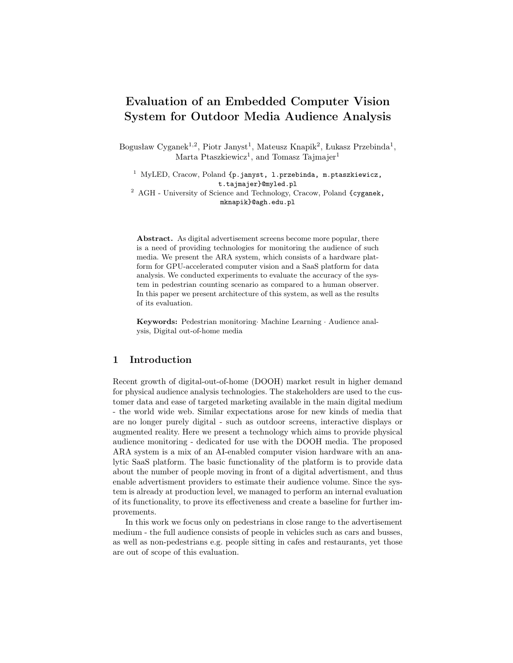# Evaluation of an Embedded Computer Vision System for Outdoor Media Audience Analysis

Bogusław Cyganek<sup>1,2</sup>, Piotr Janyst<sup>1</sup>, Mateusz Knapik<sup>2</sup>, Łukasz Przebinda<sup>1</sup>, Marta Ptaszkiewicz<sup>1</sup>, and Tomasz Tajmajer<sup>1</sup>

<sup>1</sup> MyLED, Cracow, Poland {p.janyst, l.przebinda, m.ptaszkiewicz, t.tajmajer}@myled.pl

<sup>2</sup> AGH - University of Science and Technology, Cracow, Poland {cyganek, mknapik}@agh.edu.pl

Abstract. As digital advertisement screens become more popular, there is a need of providing technologies for monitoring the audience of such media. We present the ARA system, which consists of a hardware platform for GPU-accelerated computer vision and a SaaS platform for data analysis. We conducted experiments to evaluate the accuracy of the system in pedestrian counting scenario as compared to a human observer. In this paper we present architecture of this system, as well as the results of its evaluation.

Keywords: Pedestrian monitoring· Machine Learning · Audience analysis, Digital out-of-home media

### 1 Introduction

Recent growth of digital-out-of-home (DOOH) market result in higher demand for physical audience analysis technologies. The stakeholders are used to the customer data and ease of targeted marketing available in the main digital medium - the world wide web. Similar expectations arose for new kinds of media that are no longer purely digital - such as outdoor screens, interactive displays or augmented reality. Here we present a technology which aims to provide physical audience monitoring - dedicated for use with the DOOH media. The proposed ARA system is a mix of an AI-enabled computer vision hardware with an analytic SaaS platform. The basic functionality of the platform is to provide data about the number of people moving in front of a digital advertisment, and thus enable advertisment providers to estimate their audience volume. Since the system is already at production level, we managed to perform an internal evaluation of its functionality, to prove its effectiveness and create a baseline for further improvements.

In this work we focus only on pedestrians in close range to the advertisement medium - the full audience consists of people in vehicles such as cars and busses, as well as non-pedestrians e.g. people sitting in cafes and restaurants, yet those are out of scope of this evaluation.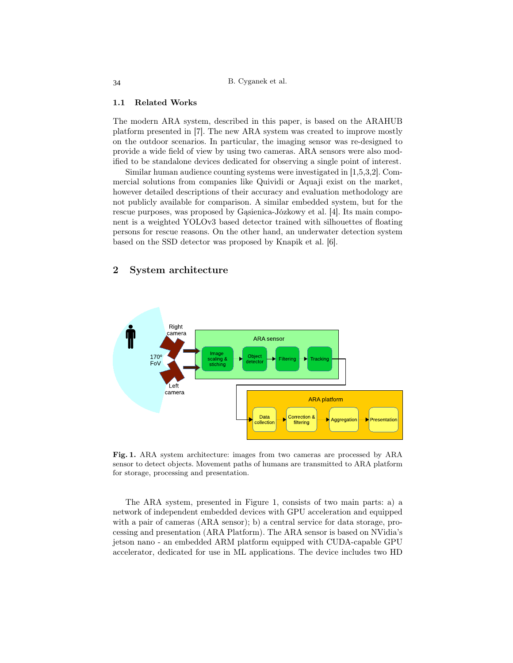#### 1.1 Related Works

The modern ARA system, described in this paper, is based on the ARAHUB platform presented in [7]. The new ARA system was created to improve mostly on the outdoor scenarios. In particular, the imaging sensor was re-designed to provide a wide field of view by using two cameras. ARA sensors were also modified to be standalone devices dedicated for observing a single point of interest.

Similar human audience counting systems were investigated in [1,5,3,2]. Commercial solutions from companies like Quividi or Aquaji exist on the market, however detailed descriptions of their accuracy and evaluation methodology are not publicly available for comparison. A similar embedded system, but for the rescue purposes, was proposed by Gąsienica-Józkowy et al. [4]. Its main component is a weighted YOLOv3 based detector trained with silhouettes of floating persons for rescue reasons. On the other hand, an underwater detection system based on the SSD detector was proposed by Knapik et al. [6].

#### 2 System architecture



Fig. 1. ARA system architecture: images from two cameras are processed by ARA sensor to detect objects. Movement paths of humans are transmitted to ARA platform for storage, processing and presentation.

The ARA system, presented in Figure 1, consists of two main parts: a) a network of independent embedded devices with GPU acceleration and equipped with a pair of cameras (ARA sensor); b) a central service for data storage, processing and presentation (ARA Platform). The ARA sensor is based on NVidia's jetson nano - an embedded ARM platform equipped with CUDA-capable GPU accelerator, dedicated for use in ML applications. The device includes two HD

34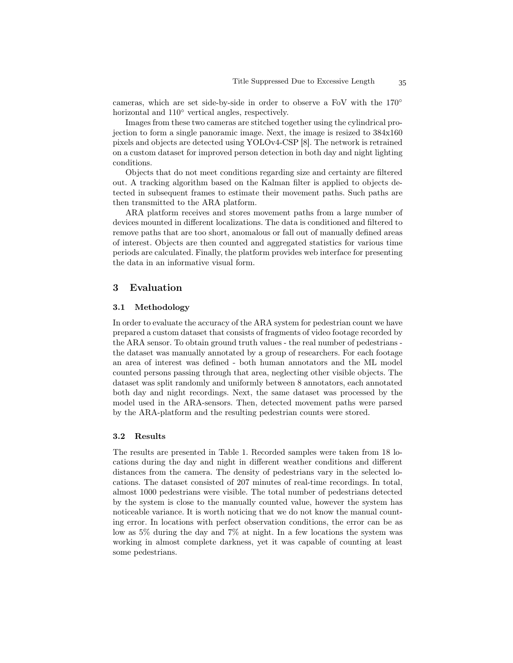cameras, which are set side-by-side in order to observe a FoV with the 170◦ horizontal and 110◦ vertical angles, respectively.

Images from these two cameras are stitched together using the cylindrical projection to form a single panoramic image. Next, the image is resized to 384x160 pixels and objects are detected using YOLOv4-CSP [8]. The network is retrained on a custom dataset for improved person detection in both day and night lighting conditions.

Objects that do not meet conditions regarding size and certainty are filtered out. A tracking algorithm based on the Kalman filter is applied to objects detected in subsequent frames to estimate their movement paths. Such paths are then transmitted to the ARA platform.

ARA platform receives and stores movement paths from a large number of devices mounted in different localizations. The data is conditioned and filtered to remove paths that are too short, anomalous or fall out of manually defined areas of interest. Objects are then counted and aggregated statistics for various time periods are calculated. Finally, the platform provides web interface for presenting the data in an informative visual form.

# 3 Evaluation

#### 3.1 Methodology

In order to evaluate the accuracy of the ARA system for pedestrian count we have prepared a custom dataset that consists of fragments of video footage recorded by the ARA sensor. To obtain ground truth values - the real number of pedestrians the dataset was manually annotated by a group of researchers. For each footage an area of interest was defined - both human annotators and the ML model counted persons passing through that area, neglecting other visible objects. The dataset was split randomly and uniformly between 8 annotators, each annotated both day and night recordings. Next, the same dataset was processed by the model used in the ARA-sensors. Then, detected movement paths were parsed by the ARA-platform and the resulting pedestrian counts were stored.

#### 3.2 Results

The results are presented in Table 1. Recorded samples were taken from 18 locations during the day and night in different weather conditions and different distances from the camera. The density of pedestrians vary in the selected locations. The dataset consisted of 207 minutes of real-time recordings. In total, almost 1000 pedestrians were visible. The total number of pedestrians detected by the system is close to the manually counted value, however the system has noticeable variance. It is worth noticing that we do not know the manual counting error. In locations with perfect observation conditions, the error can be as low as 5% during the day and 7% at night. In a few locations the system was working in almost complete darkness, yet it was capable of counting at least some pedestrians.